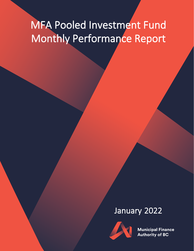# MFA Pooled Investment Fund Monthly Performance Report

## January 2022



**Municipal Finance Authority of BC**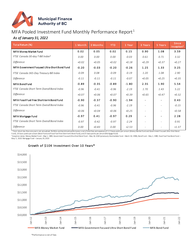

### MFA Pooled Investment Fund Monthly Performance Report<sup>1</sup>

#### *As of January 31, 2022*

| Total Retum (%)                              | 1 Month | 3 Months | <b>YTD</b> | 1 Year  | 3 Years                  | 5 Years                  | <b>Since</b><br>Inception <sup>2</sup> |
|----------------------------------------------|---------|----------|------------|---------|--------------------------|--------------------------|----------------------------------------|
| MFA Money Market Fund                        | 0.02    | 0.05     | 0.02       | 0.15    | 0.90                     | 1.08                     | 3.59                                   |
| FTSE Canada 30-day T-Bill Index <sup>3</sup> | 0.00    | 0.00     | 0.00       | $-0.03$ | 0.61                     | 0.71                     | 3.32                                   |
| Difference                                   | $+0.02$ | $+0.05$  | $+0.02$    | $+0.18$ | $+0.29$                  | $+0.37$                  | $+0.27$                                |
| MFA Government Focused Ultra-Short Bond Fund | $-0.20$ | $-0.03$  | $-0.20$    | $-0.26$ | 1.25                     | 1.33                     | 3.25                                   |
| FTSE Canada 365-Day Treasury Bill Index      | $-0.09$ | 0.08     | $-0.09$    | $-0.19$ | 1.20                     | 1.08                     | 2.90                                   |
| Difference                                   | $-0.11$ | $-0.11$  | $-0.11$    | $-0.07$ | $+0.05$                  | $+0.25$                  | $+0.35$                                |
| <b>MFA Bond Fund</b>                         | $-0.89$ | $-0.35$  | $-0.89$    | $-1.80$ | 2.35                     | 1.90                     | 5.54                                   |
| FTSE Canada Short Term Overall Bond Index    | $-0.96$ | $-0.41$  | $-0.96$    | $-2.19$ | 1.70                     | 1.43                     | 5.22                                   |
| Difference                                   | $+0.07$ | $+0.06$  | $+0.07$    | $+0.39$ | $+0.65$                  | $+0.47$                  | $+0.32$                                |
| MFA Fossil Fuel Free Short-term Bond Fund    | $-0.90$ | $-0.37$  | $-0.90$    | $-1.94$ |                          |                          | 0.43                                   |
| FTSE Canada Short Term Overall Bond Index    | $-0.96$ | $-0.41$  | $-0.96$    | $-2.19$ | $\overline{a}$           | $\overline{a}$           | $-0.15$                                |
| Difference                                   | $+0.06$ | $+0.04$  | $+0.06$    | $+0.25$ |                          |                          | $+0.58$                                |
| MFA Mortgage Fund                            | $-0.97$ | 0.41     | $-0.97$    | 0.29    | $\overline{\phantom{a}}$ |                          | 2.28                                   |
| FTSE Canada Short Term Overall Bond Index    | $-0.97$ | $-0.42$  | $-0.97$    | $-2.24$ |                          |                          | 0.91                                   |
| <b>Difference</b>                            | 0.00    | $+0.83$  | 0.00       | $+2.53$ | $\overline{\phantom{a}}$ | $\overline{\phantom{a}}$ | $+1.37$                                |

1 Total return less than one year is not annualized. Portfolio and benchmark performance is net of total fees and expenses of 12.5 basis points per annum (Money Market Fund and Government Focused Ultra-Short Bond

Fund), 20 basis pointsper annum (Bond Fund and Fossil Fuel Free Short-term Bond Fund), and 25 basis points per annum (Mortgage Fund)<br><sup>2</sup>Inception dates: Money Market Fund – May 1, 1989; Government Focused Ultra-Short Bond



Growth of \$10K Investment Over 10 Years\*

\*Performance is net of fees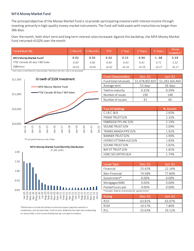#### MFA Money Market Fund

The principal objective of the Money Market Fund is to provide participating investors with interest income through investing primarily in high-quality money market instruments. The Fund will hold assets with maturities no longer than 366 days.

Over the month, both short term and long term interest rates increased.Against this backdrop, the MFA Money Market Fund returned +0.02% over the month.

| Total Retum (%)                    | 1 Month | 3 Months | YTD     | 1 Year  | 3 Years | 5 Years | <b>Since</b><br>Inception <sup>2</sup> |
|------------------------------------|---------|----------|---------|---------|---------|---------|----------------------------------------|
| MFA Money Market Fund <sup>1</sup> | 0.02    | 0.05     | 0.02    | 0.15    | 0.90    | 1.08    | 3.59                                   |
| FTSE Canada 30-day T-Bill Index    | 0.00    | 0.00     | 0.00    | -0.03   | 0.61    | 0.71    | 3.32                                   |
| Difference                         | $+0.02$ | $+0.05$  | $+0.02$ | $+0.18$ | $+0.29$ | $+0.37$ | $+0.27$                                |

 $1$ Total return is net of fees (12.5 bps annually). Total return less than 1 year is not annualized.



| <b>Fund Characteristics</b> | $Dec-31$        | $Jan-31$        |
|-----------------------------|-----------------|-----------------|
| Fund total net assets       | \$1,678,832,820 | \$1,283,164,460 |
| Average term                | 53 days         | 56 days         |
| Yield to maturity           | 0.32%           | 0.39%           |
| Number of issues            | 190             | 148             |
| Number of issuers           |                 |                 |

| Top 10 Holdings            | % Assets |
|----------------------------|----------|
| C.I.B.C.B/A                | 2.65%    |
| PRIME TRUST D/N            | 2.33%    |
| ENBRIDGE PPLINC D/N        | 2.19%    |
| SOUND TRUST D/N            | 2.04%    |
| TRANSCANADA PIPE D/N       | 1.92%    |
| <b>BANNER TRUST D/N</b>    | 1.90%    |
| HYDRO OTTAWA HLD D/N       | 1.83%    |
| SOUND TRUST D/N            | 1.82%    |
| <b>BAY ST TRUST D/N</b>    | 1.81%    |
| <b>HSBC SECURITIES B/A</b> | 1.74%    |



MFA Money Market Fund Monthly Distribution

\*Fund performance is net of fees

Issuer Type Dec -31 Jan-31 Financial 25.42% 22.16% Non-Financial 74.58% 77.84% Government\* 0.00% 0.00% Mortgages/MBS 0.00% 0.00% Pooled fund cash  $0.00\%$  0.00% \*includes federal and provincial government

| Rating           | Dec-31' | <b>Jan-31</b> |
|------------------|---------|---------------|
| R <sub>1</sub> H | 63.81%  | 63.07%        |
| R <sub>1</sub> M | 10.57%  | 7.80%         |
| R <sub>1</sub>   | 25.63%  | 29.12%        |

\*Distributions include all interest income and coupon payments earned on investments, and are paid daily. Total income, divided by the total units outstanding on record date, is the income distribution per unit paid to investors.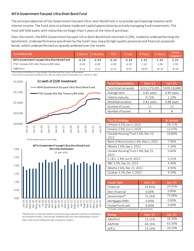#### MFA Government Focused Ultra-Short Bond Fund

The principal objective of the Government Focused Ultra-short Bond Fund is to provide participating investors with interest income. The Fund aims to achieve moderate capital appreciation by actively managing Fund investments. The Fund will hold assets with maturities no longer than 2 years at the time of purchase.

Over the month, the MFA Government Focused Ultra-Short Bond Fund returned -0.20%, modestly underperforming the benchmark. Underperformance was driven by the fund's bias towards high-quality provincial and financial corporate bonds, which underperformed as spreads widened over the month.

| 1 Month | 3 Months | <b>YTD</b> | I Year  | 3 Years | 5 Years | <b>Since</b><br>Inception <sup>2</sup> |
|---------|----------|------------|---------|---------|---------|----------------------------------------|
| $-0.20$ | $-0.03$  | $-0.20$    | $-0.26$ | 1.25    | 1.33    | 3.25                                   |
| $-0.09$ | 0.08     | $-0.09$    | $-0.19$ | 1.20    | 1.08    | 2.90                                   |
| $-0.11$ | $-0.11$  | $-0.11$    | $-0.07$ | $+0.05$ | $+0.25$ | $+0.35$                                |
|         |          |            |         |         |         |                                        |

<sup>2</sup> Government Focused Ultra-Short Bond Fund – May 18, 2020 (previously Intermediate Fund - March 30, 1994)



\*Fund performance is net of fees



\*Distributions include all interest income and coupon payments earned on investments, and are paid monthly. Total income, divided by the total units outstanding on record date, is the income distribution per unit paid to investors.

| <b>Fund Characteristics</b> | $Dec-31$      | Jan-31        |
|-----------------------------|---------------|---------------|
| Fund total net assets       | \$312,279,395 | \$309,162,840 |
| Average term                | 0.85 years    | 0.89 years    |
| Yield to maturity           | 0.72%         | 1.10%         |
| Modified duration           | $0.83$ years  | 0.88 years    |
| Number of issues            | 11            | 12            |
| Number of issuers           |               |               |

| Top 10 Holdings                            | % Assets |
|--------------------------------------------|----------|
| Ontario 3.2%, Jun 2, 2022                  | 29.71%   |
| Ontario 2.9%, Jun 2, 2023                  | 12.07%   |
| Canada Housing Trust 2.4%, Dec 15,<br>2022 | 10.86%   |
| Bank of Nova Scotia 2.4%, May 1, 2023      | 7.96%    |
| Alberta 1.6%, Sep 1, 2022                  | 7.29%    |
| Canada Housing Trust 2.4%, Sep 15,<br>2023 | 5.64%    |
| C.I.B.C. 2.4%, Jun 9, 2023                 | 5.21%    |
| RBC 3.3%, Sep 26, 2023                     | 4.94%    |
| Alberta 2.6%, Dec 15, 2022                 | 4.93%    |
| Quebec 3.5%, Dec 1, 2022                   | 4.59%    |

| <b>Issuer Type</b>                          | $Dec-31$ | $Jan-31$ |  |  |  |
|---------------------------------------------|----------|----------|--|--|--|
| Financial                                   | 24.85%   | 24.91%   |  |  |  |
| Non-Financial                               | 0.00%    | $0.00\%$ |  |  |  |
| Government*                                 | 75.16%   | 75.09%   |  |  |  |
| Mortgages/MBS                               | 0.00%    | $0.00\%$ |  |  |  |
| Pooled fund cash                            | 0.00%    | 0.00%    |  |  |  |
| *includes federal and provincial government |          |          |  |  |  |

| Rating  | Dec-31' | $\mathsf{Man}\text{-}\mathsf{31}\mathsf{N}$ |
|---------|---------|---------------------------------------------|
| AAA/R1H | 15.15%  | 16.50%                                      |
| AA/R1M  | 69.35%  | 63.30%                                      |
| A/R11   | 15.14%  | 20.19%                                      |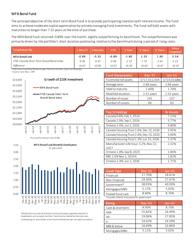#### MFA Bond Fund

The principal objective of the short-term Bond Fund is to provide participating investors with interest income. The Fund aims to achieve moderate capital appreciation by actively managing Fund investments. The Fund will hold assets with maturities no longer than 7.25 years at the time of purchase.

The MFA Bond Fund returned -0.89% over the month, slightly outperforming its benchmark. This outperformance was primarily driven by the portfolio's short duration positioning relative to the benchmark during a period of rising rates.

| Total Retum (%)                           | ∡ Month | 3 Months | YTD     | Year    | 3 Years | 5 Years | Since<br>Inception <sup>2</sup> |
|-------------------------------------------|---------|----------|---------|---------|---------|---------|---------------------------------|
| <b>MFA Bond Fund</b>                      | $-0.89$ | $-0.35$  | $-0.89$ | $-1.80$ | 2.35    | 1.90    | 5.54                            |
| FTSE Canada Short Term Overall Bond Index | $-0.96$ | $-0.41$  | $-0.96$ | $-2.19$ | 1.70    | 1.43    | 5.22                            |
| Difference                                | $+0.07$ | $+0.06$  | $+0.07$ | $+0.39$ | $+0.65$ | $+0.47$ | $+0.32$                         |

<sup>1</sup>Total return is net of fees (20 bps annually). Total return less than 1 year is not annualized. <sup>3</sup> Inception date: May 1, 1989



\*Fund performance is net of fees



\*Distributions include all interest income and coupon payments earned on investments, and are paid monthly. Total income, divided by the total units outstanding on record date, is the income distribution per unit paid to investors.

| <b>Fund Characteristics</b> | $Dec-31$      | $Jan-31$      |
|-----------------------------|---------------|---------------|
| Fund total net assets       | \$717,412,434 | \$714,013,866 |
| Average term                | 2.68 years    | 2.68 years    |
| Yield to maturity           | 1.40%         | 1.79%         |
| Modified duration           | 2.53 years    | 2.53 years    |
| Number of issues            | 141           | 137           |
| Number of issuers           | 66            | 65            |

| Top 10 Holdings                         | % Assets |
|-----------------------------------------|----------|
| Canada 0.8%, Feb 1, 2024                | 7.13%    |
| Canada 1.0%, Sep 1, 2026                | 5.77%    |
| Ontario 2.6%, Jun 2, 2025               | 4.80%    |
| Canada Housing Trust 1.6%, Dec 15, 2026 | 3.95%    |
| Canada Housing Trust 2.6%, Dec 15, 2023 | 3.60%    |
| Canada Housing Trust 1.3%, Jun 15, 2026 | 2.37%    |
| Manufacturers Life Insur. 3.2%, Nov 22, | 2.32%    |
| 2027                                    |          |
| Ontario 1.8%, Sep 8, 2025               | 1.84%    |
| RBC 2.6% Nov 1, 20254                   | 1.82%    |
| Ontario 2.4%, Jun 2, 2026               | 1.71%    |

| <b>Issuer Type</b>                          | $Dec-31$ | $Jan-31$ |  |  |
|---------------------------------------------|----------|----------|--|--|
| Financial                                   | 17.70%   | 18.61%   |  |  |
| Non-Financial                               | 29.36%   | 27.67%   |  |  |
| Government*                                 | 38.93%   | 40.00%   |  |  |
| Mortgages/MBS                               | 5.11%    | 5.02%    |  |  |
| Pooled fund cash                            | 8.90%    | 8.70%    |  |  |
| *includes federal and provincial government |          |          |  |  |

| Rating            | <b>Dec-31</b> | $Jan-31$ |
|-------------------|---------------|----------|
| Cash & short term | 8.90%         | 8.70%    |
| AAA               | 25.82%        | 26.99%   |
| AA                | 19.06%        | 17.85%   |
| А                 | 24.42%        | 24.58%   |
| BBB & below       | 16.69%        | 16.86%   |
| Mortgages/MBS     | 5.11%         | 5.02%    |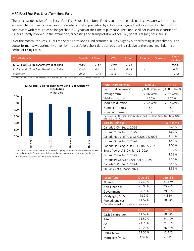#### MFA Fossil Fuel Free Short Term Bond Fund

The principal objective of the Fossil Fuel Free Short-Term Bond Fund is to provide participating investors with interest income. The Fund aims to achieve moderate capital appreciation by actively managing Fund investments. The Fund will hold assets with maturities no longer than 7.25 years at the time of purchase. The Fund shall not invest in securities of Issuers directly involved in the extraction, processing and transportation of coal, oil, or natural gas ("fossil fuels").

Over the month, the Fossil Fuel Free Short-Term Bond Fund returned -0.90%, slightly outperforming its benchmark. This outperformance was primarily driven by the portfolio's short duration positioning relative to the benchmark during a period of rising rates.

| Total Retum (%)                           | 1 Month | 3 Months | YTD     | Year    | 3 Years | 5 Years                  | <b>Since</b><br>Inception <sup>2</sup> |
|-------------------------------------------|---------|----------|---------|---------|---------|--------------------------|----------------------------------------|
| MFA Fossil Fuel Free Short-term Bond Fund | -0.90   | $-0.37$  | $-0.90$ | $-1.94$ |         |                          | 0.43                                   |
| FTSE Canada Short Term Overall Bond Index | $-0.96$ | $-0.41$  | $-0.96$ | $-2.19$ |         | $\overline{\phantom{a}}$ | $-0.15$                                |
| Difference<br>$\sim$ $\sim$ $\sim$        | $+0.06$ | $+0.04$  | $+0.06$ | $+0.25$ |         |                          | $+0.58$                                |

<sup>1</sup> Total return is net of fees (20 bps annually). Total return less than 1 year is not annualized. <sup>2</sup> Inception date: May 5, 2020



\*Distributions include all interest income and coupon payments earned on investments, and are paid quarterly. Total income, divided by the total units outstanding on record date, is the income distribution per unit paid to investors.

| <b>Fund Characteristics</b> | $Dec-31$      | $Jan-31$      |
|-----------------------------|---------------|---------------|
| Fund total net assets*      | \$160,000,464 | \$158,508,430 |
| Average term                | 2.66 years    | 2.67 years    |
| Yield to maturity           | 1.36%         | 1.75%         |
| Modified duration           | 2.52 years    | 2.52 years    |
| Number of issues            | 88            | 84            |
| Number of issuers           | 42            |               |

\*MFA owns units of the RBC Vision Fossil Fuel Free Short-term Bond Fund (total size \$275,229,670)

| Top 10 Holdings                         | % Assets |
|-----------------------------------------|----------|
| Canada 1.0%, Sep 1, 2026                | 6.65%    |
| Ontario 2.6%, Jun 2, 2025               | 4.62%    |
| Canada Housing Trust 1.6%, Dec 15, 2026 | 4.36%    |
| Ontario 3.5%, Jun 2, 2024               | 3.40%    |
| Canada Housing Trust 1.3%, Jun 15, 2026 | 3.05%    |
| Bruce Power LP 3.0%, Jun 21, 2024       | 2.72%    |
| Ontario 2.9%, Jun 2, 2023               | 2.58%    |
| Ontario Power Gen 2.9%, Apr 8, 2025     | 2.51%    |
| Canada 0.8%, Feb 1, 2024                | 2.48%    |
| TD Bank 2.9%, Mar 8, 2024               | 2.39%    |

| <b>Issuer Type</b>                          | $Dec-31$ | $Jan-31$ |  |  |  |
|---------------------------------------------|----------|----------|--|--|--|
| Financial                                   | 19.39%   | 21.17%   |  |  |  |
| Non-Financial                               | 26.99%   | 23.77%   |  |  |  |
| Government*                                 | 37.70%   | 39.89%   |  |  |  |
| Mortgages/MBS                               | 4.39%    | 4.32%    |  |  |  |
| Pooled fund cash                            | 11.52%   | 10.84%   |  |  |  |
| *includes federal and provincial government |          |          |  |  |  |

Rating **Dec-31** Jan-31 Cash & short term 11.52% 10.84% AAA 21.57% 24.40% AA 24.78% 21.59% A 25.20% 26.68% BBB & below 12.55% 12.16% Mortgages/MBS 4.39% 4.32%